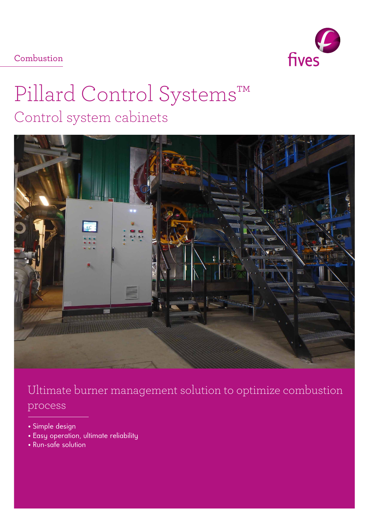fives

Combustion

# Pillard Control Systems™ Control system cabinets



Ultimate burner management solution to optimize combustion process

- Simple design
- Easy operation, ultimate reliability
- Run-safe solution